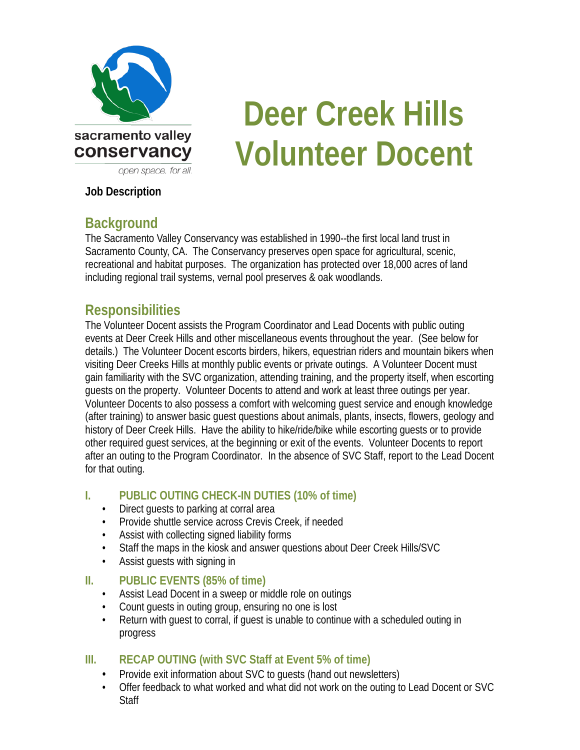

# **Deer Creek Hills Volunteer Docent**

#### **Job Description**

# **Background**

The Sacramento Valley Conservancy was established in 1990--the first local land trust in Sacramento County, CA. The Conservancy preserves open space for agricultural, scenic, recreational and habitat purposes. The organization has protected over 18,000 acres of land including regional trail systems, vernal pool preserves & oak woodlands.

# **Responsibilities**

The Volunteer Docent assists the Program Coordinator and Lead Docents with public outing events at Deer Creek Hills and other miscellaneous events throughout the year. (See below for details.) The Volunteer Docent escorts birders, hikers, equestrian riders and mountain bikers when visiting Deer Creeks Hills at monthly public events or private outings. A Volunteer Docent must gain familiarity with the SVC organization, attending training, and the property itself, when escorting guests on the property. Volunteer Docents to attend and work at least three outings per year. Volunteer Docents to also possess a comfort with welcoming guest service and enough knowledge (after training) to answer basic guest questions about animals, plants, insects, flowers, geology and history of Deer Creek Hills. Have the ability to hike/ride/bike while escorting guests or to provide other required guest services, at the beginning or exit of the events. Volunteer Docents to report after an outing to the Program Coordinator. In the absence of SVC Staff, report to the Lead Docent for that outing.

#### **I. PUBLIC OUTING CHECK-IN DUTIES (10% of time)**

- Direct guests to parking at corral area
- Provide shuttle service across Crevis Creek, if needed
- Assist with collecting signed liability forms
- Staff the maps in the kiosk and answer questions about Deer Creek Hills/SVC
- Assist guests with signing in

#### **II. PUBLIC EVENTS (85% of time)**

- Assist Lead Docent in a sweep or middle role on outings
- Count guests in outing group, ensuring no one is lost
- Return with guest to corral, if guest is unable to continue with a scheduled outing in progress

#### **III. RECAP OUTING (with SVC Staff at Event 5% of time)**

- Provide exit information about SVC to guests (hand out newsletters)
- Offer feedback to what worked and what did not work on the outing to Lead Docent or SVC **Staff**